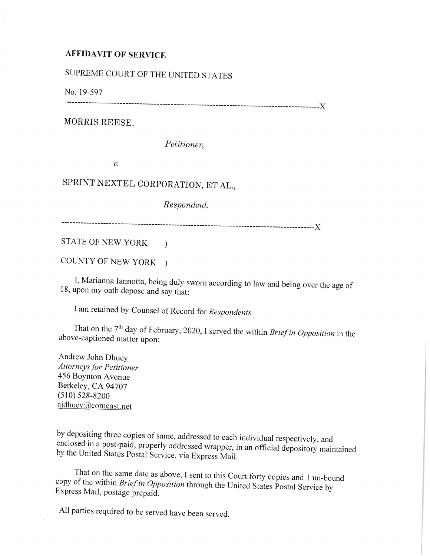## **AFFIDAVIT OF SERVICE**

## SUPREME COURT OF THE UNITED STATES

No. 19-597

------------------------------------------------------------------------------------------)(

MORRIS REESE,

*Petitioner,* 

 $v$ .

## SPRINT NEXTEL CORPORATION, ET AL.,

*Respondent.* 

------------------------------------------------------------------------------------------)(

STATE OF NEW YORK )

COUNTY OF NEW YORK )

I, Marianna Iannotta, being duly sworn according to law and being over the age of <sup>18</sup>, upon my oath depose and say that:

<sup>I</sup>am retained by Counsel of Record for *Respondents.* 

That on the 7<sup>th</sup> day of February, 2020, I served the within *Brief in Opposition* in the above-captioned matter upon:

Andrew John Dhuey *Attorneys for Petitioner*  456 Boynton Avenue Berkeley, CA 94707 (510) 528-8200 ajdhuey@comcast.net

by depositing three copies of same, addressed to each individual respectively, and enclosed in a post-paid, properly addressed wrapper, in an official depository maintained by the United States Postal Service, via Express Mail.

That on the same date as above, I sent to this Court forty copies and 1 un-bound copy of the within *Brief in Opposition* through the United States Postal Service by Express Mail, postage prepaid.

All parties required to be served have been served.